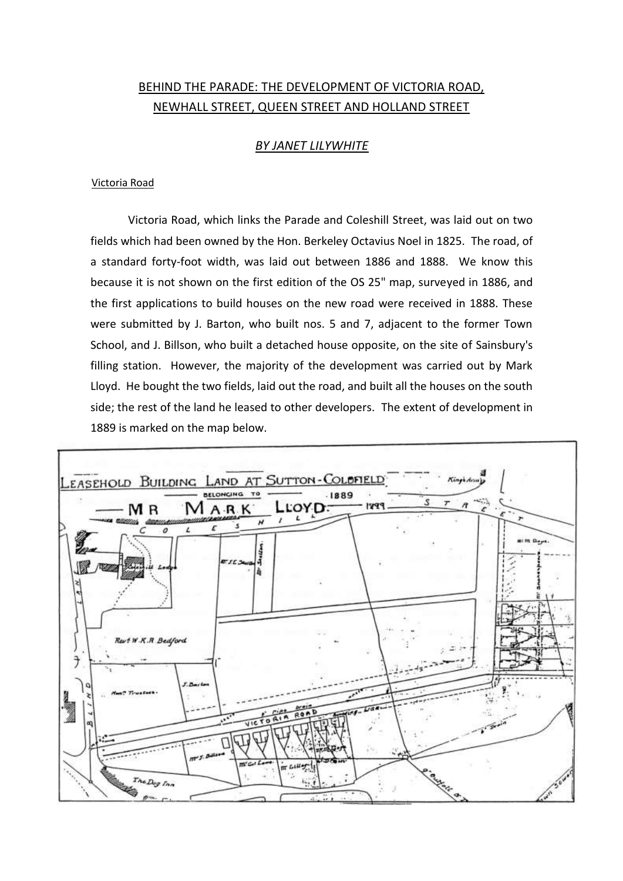## BEHIND THE PARADE: THE DEVELOPMENT OF VICTORIA ROAD, NEWHALL STREET, QUEEN STREET AND HOLLAND STREET

### *BY JANET LILYWHITE*

#### Victoria Road

Victoria Road, which links the Parade and Coleshill Street, was laid out on two fields which had been owned by the Hon. Berkeley Octavius Noel in 1825. The road, of a standard forty-foot width, was laid out between 1886 and 1888. We know this because it is not shown on the first edition of the OS 25" map, surveyed in 1886, and the first applications to build houses on the new road were received in 1888. These were submitted by J. Barton, who built nos. 5 and 7, adjacent to the former Town School, and J. Billson, who built a detached house opposite, on the site of Sainsbury's filling station. However, the majority of the development was carried out by Mark Lloyd. He bought the two fields, laid out the road, and built all the houses on the south side; the rest of the land he leased to other developers. The extent of development in 1889 is marked on the map below.

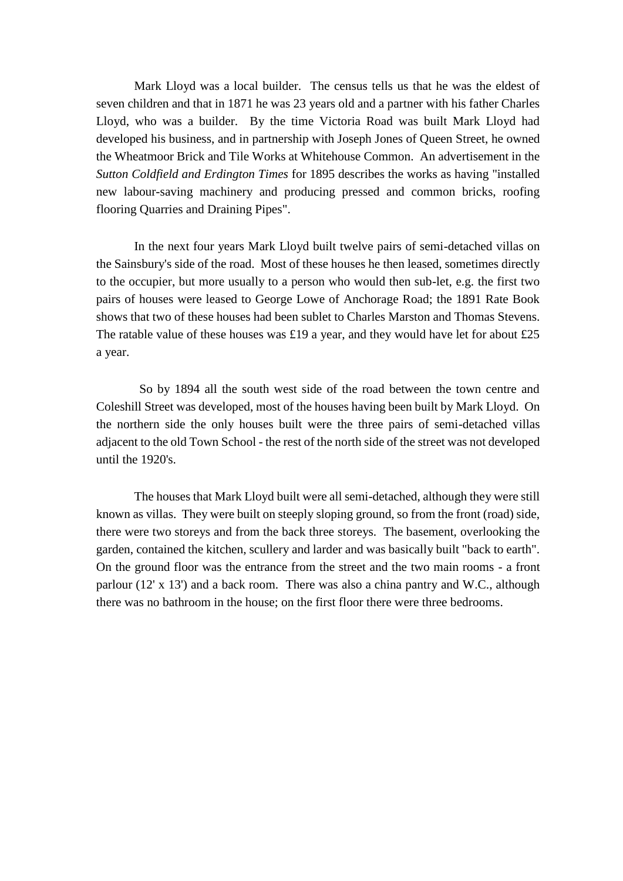Mark Lloyd was a local builder. The census tells us that he was the eldest of seven children and that in 1871 he was 23 years old and a partner with his father Charles Lloyd, who was a builder. By the time Victoria Road was built Mark Lloyd had developed his business, and in partnership with Joseph Jones of Queen Street, he owned the Wheatmoor Brick and Tile Works at Whitehouse Common. An advertisement in the *Sutton Coldfield and Erdington Times* for 1895 describes the works as having "installed new labour-saving machinery and producing pressed and common bricks, roofing flooring Quarries and Draining Pipes".

In the next four years Mark Lloyd built twelve pairs of semi-detached villas on the Sainsbury's side of the road. Most of these houses he then leased, sometimes directly to the occupier, but more usually to a person who would then sub-let, e.g. the first two pairs of houses were leased to George Lowe of Anchorage Road; the 1891 Rate Book shows that two of these houses had been sublet to Charles Marston and Thomas Stevens. The ratable value of these houses was £19 a year, and they would have let for about £25 a year.

So by 1894 all the south west side of the road between the town centre and Coleshill Street was developed, most of the houses having been built by Mark Lloyd. On the northern side the only houses built were the three pairs of semi-detached villas adjacent to the old Town School - the rest of the north side of the street was not developed until the 1920's.

The houses that Mark Lloyd built were all semi-detached, although they were still known as villas. They were built on steeply sloping ground, so from the front (road) side, there were two storeys and from the back three storeys. The basement, overlooking the garden, contained the kitchen, scullery and larder and was basically built "back to earth". On the ground floor was the entrance from the street and the two main rooms - a front parlour (12' x 13') and a back room. There was also a china pantry and W.C., although there was no bathroom in the house; on the first floor there were three bedrooms.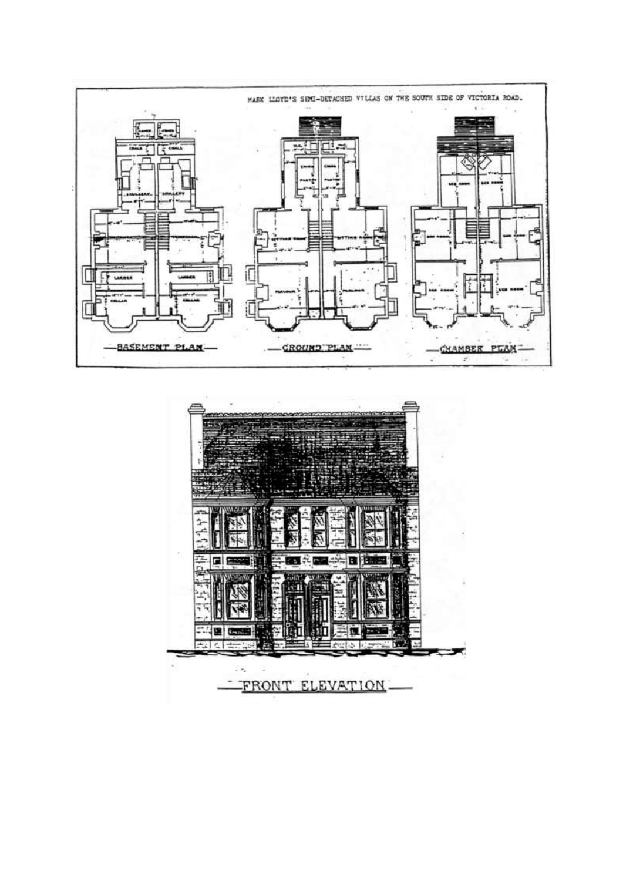

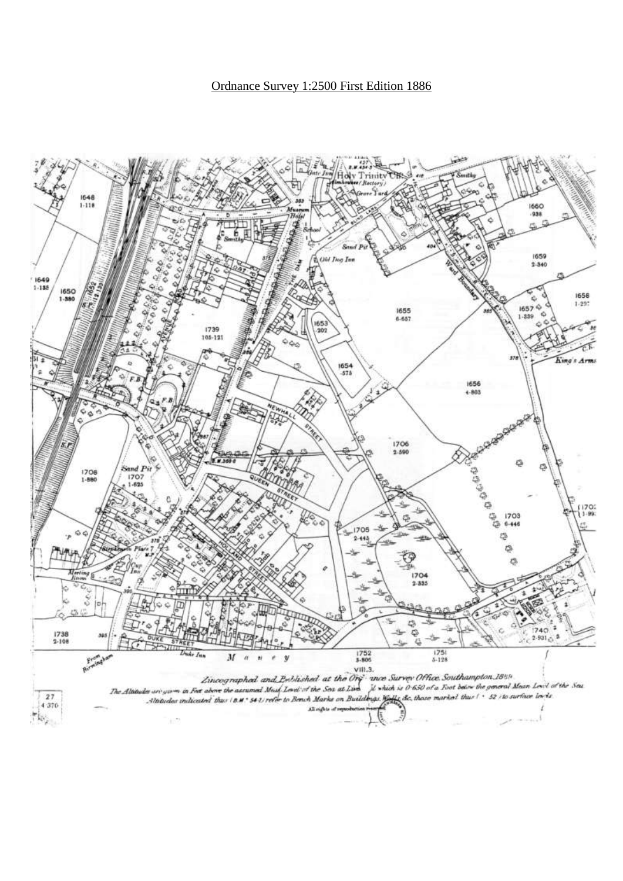Ordnance Survey 1:2500 First Edition 1886

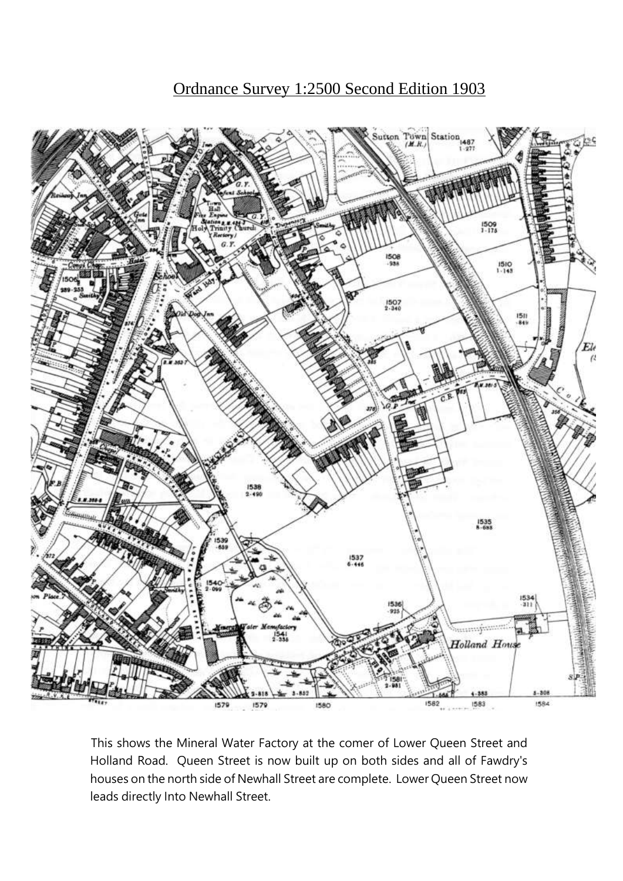# Ordnance Survey 1:2500 Second Edition 1903



This shows the Mineral Water Factory at the comer of Lower Queen Street and Holland Road. Queen Street is now built up on both sides and all of Fawdry's houses on the north side of Newhall Street are complete. Lower Queen Street now leads directly Into Newhall Street.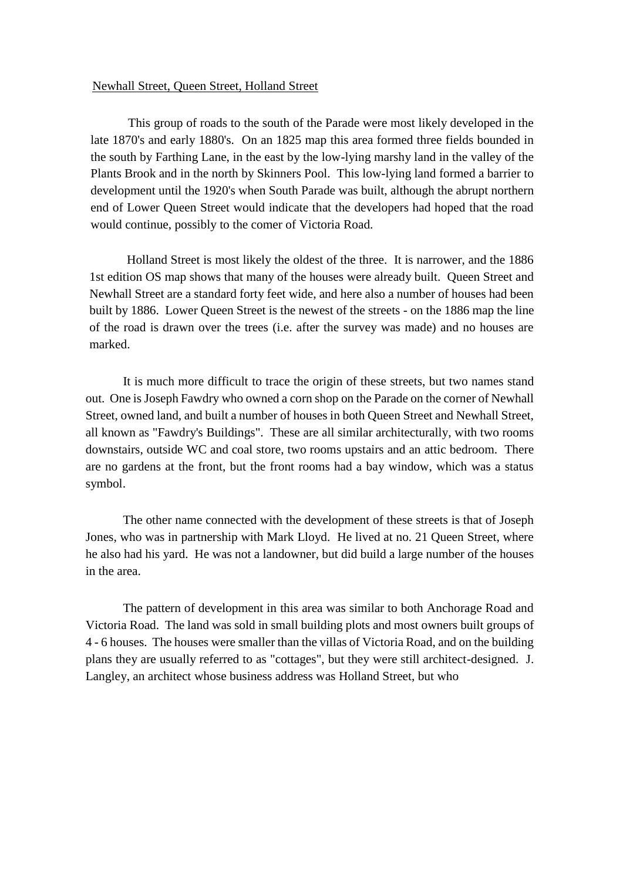#### Newhall Street, Queen Street, Holland Street

This group of roads to the south of the Parade were most likely developed in the late 1870's and early 1880's. On an 1825 map this area formed three fields bounded in the south by Farthing Lane, in the east by the low-lying marshy land in the valley of the Plants Brook and in the north by Skinners Pool. This low-lying land formed a barrier to development until the 1920's when South Parade was built, although the abrupt northern end of Lower Queen Street would indicate that the developers had hoped that the road would continue, possibly to the comer of Victoria Road.

Holland Street is most likely the oldest of the three. It is narrower, and the 1886 1st edition OS map shows that many of the houses were already built. Queen Street and Newhall Street are a standard forty feet wide, and here also a number of houses had been built by 1886. Lower Queen Street is the newest of the streets - on the 1886 map the line of the road is drawn over the trees (i.e. after the survey was made) and no houses are marked.

It is much more difficult to trace the origin of these streets, but two names stand out. One is Joseph Fawdry who owned a corn shop on the Parade on the corner of Newhall Street, owned land, and built a number of houses in both Queen Street and Newhall Street, all known as "Fawdry's Buildings". These are all similar architecturally, with two rooms downstairs, outside WC and coal store, two rooms upstairs and an attic bedroom. There are no gardens at the front, but the front rooms had a bay window, which was a status symbol.

The other name connected with the development of these streets is that of Joseph Jones, who was in partnership with Mark Lloyd. He lived at no. 21 Queen Street, where he also had his yard. He was not a landowner, but did build a large number of the houses in the area.

The pattern of development in this area was similar to both Anchorage Road and Victoria Road. The land was sold in small building plots and most owners built groups of 4 - 6 houses. The houses were smaller than the villas of Victoria Road, and on the building plans they are usually referred to as "cottages", but they were still architect-designed. J. Langley, an architect whose business address was Holland Street, but who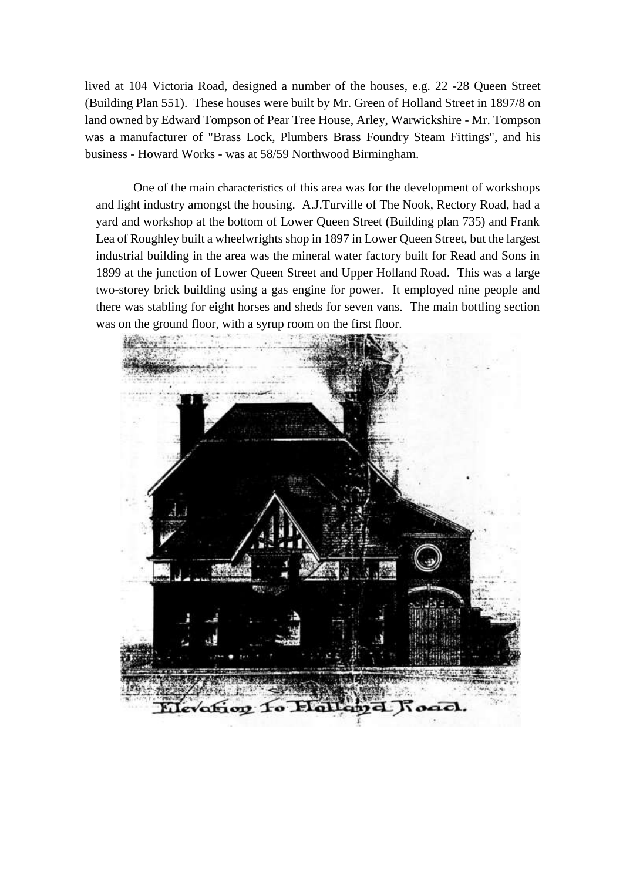lived at 104 Victoria Road, designed a number of the houses, e.g. 22 -28 Queen Street (Building Plan 551). These houses were built by Mr. Green of Holland Street in 1897/8 on land owned by Edward Tompson of Pear Tree House, Arley, Warwickshire - Mr. Tompson was a manufacturer of "Brass Lock, Plumbers Brass Foundry Steam Fittings", and his business - Howard Works - was at 58/59 Northwood Birmingham.

One of the main characteristics of this area was for the development of workshops and light industry amongst the housing. A.J.Turville of The Nook, Rectory Road, had a yard and workshop at the bottom of Lower Queen Street (Building plan 735) and Frank Lea of Roughley built a wheelwrights shop in 1897 in Lower Queen Street, but the largest industrial building in the area was the mineral water factory built for Read and Sons in 1899 at the junction of Lower Queen Street and Upper Holland Road. This was a large two-storey brick building using a gas engine for power. It employed nine people and there was stabling for eight horses and sheds for seven vans. The main bottling section was on the ground floor, with a syrup room on the first floor.